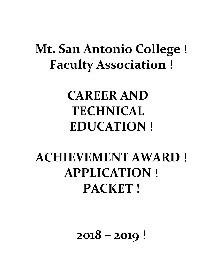## **Mt. San Antonio College**  ! **Faculty Association**  !

## **CAREER AND TECHNICAL EDUCATION**  !

# **ACHIEVEMENT AWARD**  ! **APPLICATION**  ! **PACKET**  !

 **2018 – 2019**  !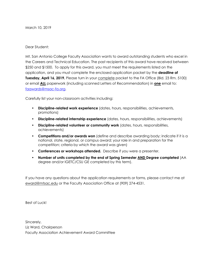March 10, 2019

#### Dear Student:

 Mt. San Antonio College Faculty Association wants to award outstanding students who excel in the Careers and Technical Education. The past recipients of this award have received between \$250 and \$1500. To apply for this award, you must meet the requirements listed on the application, and you must complete the enclosed application packet by the **deadline of Tuesday, April 16, 2019.** Please turn in your complete packet to the FA Office (Bld. 23 Rm. 5100) or email **ALL** paperwork (including scanned Letters of Recommendation) in **one** email to: [faawards@msac-fa.org](mailto:faawards@msac-fa.org).

Carefully list your non-classroom activities including:

- **Discipline-related work experience** (dates, hours, responsibilities, achievements, promotions)
- **Discipline-related internship experience** (dates, hours, responsibilities, achievements)
- **Discipline-related volunteer or community work** (dates, hours, responsibilities, achievements)
- **Competitions and/or awards won** (define and describe awarding body; indicate if it is a national, state, regional, or campus award; your role in and preparation for the competition; criteria by which the award was given)
- **Conferences or workshops attended.** Describe if you were a presenter.
- **Number of units completed by the end of Spring Semester AND Degree completed** (AA degree and/or IGETC/CSU GE completed by this term).

 If you have any questions about the application requirements or forms, please contact me at [eward@mtsac.edu](mailto:eward@mtsac.edu) or the Faculty Association Office at (909) 274-4531.

Best of Luck!

 Sincerely, Liz Ward, Chairperson Faculty Association Achievement Award Committee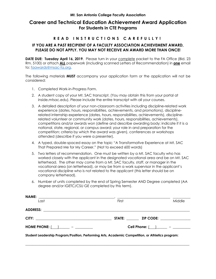## **For Students in CTE Programs Career and Technical Education Achievement Award Application**

## **R E A D I N S T R U C T I O N S C A REFULLY!**

## **PLEASE DO NOT APPLY. YOU MAY NOT RECEIVE AN AWARD MORE THAN ONCE! IF YOU ARE A PAST RECIPIENT OF A FACULTY ASSOCIATION ACHIEVEMENT AWARD,**

**DATE DUE: Tuesday April 16, 2019.** Please turn in your **complete** packet to the FA Office (Bld. 23 Rm. 5100) or attach **ALL** paperwork (including scanned Letters of Recommendation) in **one** email to: [faawards@msac-fa.org.](mailto:faawards@msac-fa.org)

 The following materials **MUST** accompany your application form or the application will not be considered:

- 1. Completed Work-in-Progress Form.
- 2. A student copy of your Mt. SAC transcript. (You may obtain this from your portal at [inside.mtsac.edu](https://inside.mtsac.edu)). Please include the entire transcript with all your courses.
- 3. A detailed description of your non-classroom activities including discipline-related work experience (dates, hours, responsibilities, achievements, and promotions), discipline- competitions and/or awards won (define and describe awarding body; indicate if it is a national, state, regional, or campus award; your role in and preparation for the competition; criteria by which the award was given), conferences or workshops related internship experience (dates, hours, responsibilities, achievements), disciplinerelated volunteer or community work (dates, hours, responsibilities, achievements), attended (describe if you were a presenter).
- 4. A typed, double-spaced essay on the topic "A Transformative Experience at Mt. SAC That Prepared Me for My Career." (Not to exceed 600 words)
- 5. Two letters of recommendation. One must be written by a Mt. SAC faculty who has worked closely with the applicant in the designated vocational area and be on Mt. SAC letterhead. The other may come from a Mt. SAC faculty, staff, or manager in the vocational area (on letterhead), or may be from a work supervisor in the applicant's vocational discipline who is not related to the applicant (this letter should be on company letterhead).
- 6. Number of units completed by the end of Spring Semester AND Degree completed (AA degree and/or IGETC/CSU GE completed by this term).

| <b>NAME:</b><br><u> 1980 - Antonio Alemania, prima postala prestava de la provincia de la provincia de la provincia de la provincia</u><br>Last | First |                  | Middle |  |  |
|-------------------------------------------------------------------------------------------------------------------------------------------------|-------|------------------|--------|--|--|
|                                                                                                                                                 |       |                  |        |  |  |
|                                                                                                                                                 |       | STATE: ZIP CODE: |        |  |  |
|                                                                                                                                                 |       |                  |        |  |  |
| Student Leadership Program/Position, Performing Arts, Academic Competition, or Athletics program:                                               |       |                  |        |  |  |

\_\_\_\_\_\_\_\_\_\_\_\_\_\_\_\_\_\_\_\_\_\_\_\_\_\_\_\_\_\_\_\_\_\_\_\_\_\_\_\_\_\_\_\_\_\_\_\_\_\_\_\_\_\_\_\_\_\_\_\_\_\_\_\_\_\_\_\_\_\_\_\_\_\_\_\_\_\_\_\_\_\_\_\_\_\_\_\_\_\_\_\_\_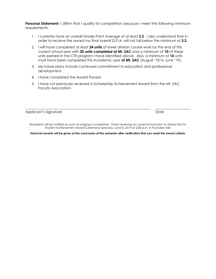**Personal Statement:** I affirm that I qualify for competition because I meet the following minimum requirements:

- 1. I currently have an overall Grade Point Average of at least **3.2**. I also understand that in order to receive the award my final overall G.P.A. will not fall below the minimum of **3.2**.
- 2. I will have completed at least **24 units** of lower division course work by the end of this current school year with **20 units completed at Mt. SAC** and a minimum of **10** of these units earned in the CTE program I have identified above. Also, a minimum of **10** units must have been completed this Academic year **at Mt. SAC** (August '18 to June '19).
- 3. My future plans include continued commitment to education and professional development.
- 4. I have completed the Award Packet.
- 5. I have not previously received a Scholarship Achievement Award from the Mt. SAC Faculty Association.

 Applicant's Signature Date

 Recipients will be notified as soon as judging is completed. Those receiving an award should plan to attend the FA Student Achievement Award Ceremony Saturday, June 8, 2019 at 2:00 p.m. in Founders Hall.

\_\_\_\_\_\_\_\_\_\_\_\_\_\_\_\_\_\_\_\_\_\_\_\_\_\_\_\_\_\_\_\_\_\_\_\_\_\_\_\_\_\_\_\_\_\_\_\_\_\_\_\_\_\_\_\_\_\_\_\_\_\_\_\_\_\_\_\_\_\_\_ \_\_\_\_\_\_\_\_\_\_\_\_\_\_\_\_\_\_\_\_

 *Financial awards will be given at the conclusion of the semester after verification that you meet the award criteria.*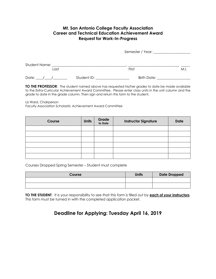## **Mt. San Antonio College Faculty Association Career and Technical Education Achievement Award Request for Work-In-Progress**

|               | Semester / Year: 1988 1999 |             |      |
|---------------|----------------------------|-------------|------|
| Student Name: |                            |             |      |
| Last          |                            | First       | M.I. |
| Date:         | Student ID:                | Birth Date: |      |

 **TO THE PROFESSOR**: The student named above has requested his/her grades to date be made available to the Extra-Curricular Achievement Award Committee. Please enter class units in the unit column and the grade to date in the grade column. Then sign and return this form to the student.

Liz Ward, Chairperson

Faculty Association Scholastic Achievement Award Committee

| Course | <b>Units</b> | Grade<br>to Date | <b>Instructor Signature</b> | <b>Date</b> |
|--------|--------------|------------------|-----------------------------|-------------|
|        |              |                  |                             |             |
|        |              |                  |                             |             |
|        |              |                  |                             |             |
|        |              |                  |                             |             |
|        |              |                  |                             |             |
|        |              |                  |                             |             |

Courses Dropped Spring Semester – Student must complete

| Course | <b>Units</b> | <b>Date Dropped</b> |
|--------|--------------|---------------------|
|        |              |                     |
|        |              |                     |

 **TO THE STUDENT**: It is your responsibility to see that this form is filled out by **each of your instructors**. This form must be turned in with the completed application packet.

## **Deadline for Applying: Tuesday April 16, 2019**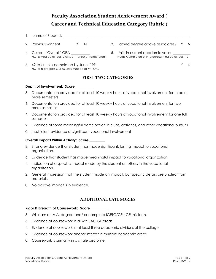## **Faculty Association Student Achievement Award**  ( **Career and Technical Education Category Rubric**  (

- 1. Name of Student: \_\_\_\_\_\_\_\_\_\_\_\_\_\_\_\_\_\_\_\_\_\_\_\_\_\_\_\_\_\_\_\_\_\_\_\_\_\_\_\_\_\_\_\_\_\_\_\_\_\_\_\_\_\_\_\_\_\_\_\_\_\_\_\_\_\_\_\_\_\_\_\_
- $Y$ 2. Previous winner? N 3. Earned degree above associates? Y N
- Current
	- NOTE: Must be at least 3.0; see "Transcript Totals (credit) NOTE: Completed or in-progress; must be at least 12 5. Units in current academic year:
- 6. 42 total units completed by June '19? Y N NOTE: In-progress OK; 35 units must be at Mt. SAC

## **FIRST TWO CATEGORIES**

### **Depth of Involvement: Score \_\_\_\_\_\_\_\_\_\_**

- 8. Documentation provided for at least 10 weekly hours of vocational involvement for three or more semesters
- 6. Documentation provided for at least 10 weekly hours of vocational involvement for two more semesters
- 4. Documentation provided for at least 10 weekly hours of vocational involvement for one full semester
- 2. Evidence of some meaningful participation in clubs, activities, and other vocational pursuits
- 0. Insufficient evidence of significant vocational involvement

### **Overall Impact Within Activity: Score \_\_\_\_\_\_\_\_\_**

- 8. Strong evidence that student has made significant, lasting impact to vocational organization.
- 6. Evidence that student has made meaningful impact to vocational organization.
- 4. Indication of a specific impact made by the student on others in the vocational organization.
- 2. General impression that the student made an impact, but specific details are unclear from materials.
- 0. No positive impact is in evidence.

## **ADDITIONAL CATEGORIES**

#### **Rigor & Breadth of Coursework: Score \_\_\_\_\_\_\_\_\_\_**

- 8. Will earn an A.A. degree and/ or complete IGETC/CSU GE this term.
- 6. Evidence of coursework in all Mt. SAC GE areas.
- 4. Evidence of coursework in at least three academic divisions of the college.
- 2. Evidence of coursework and/or interest in multiple academic areas.
- 0. Coursework is primarily in a single discipline